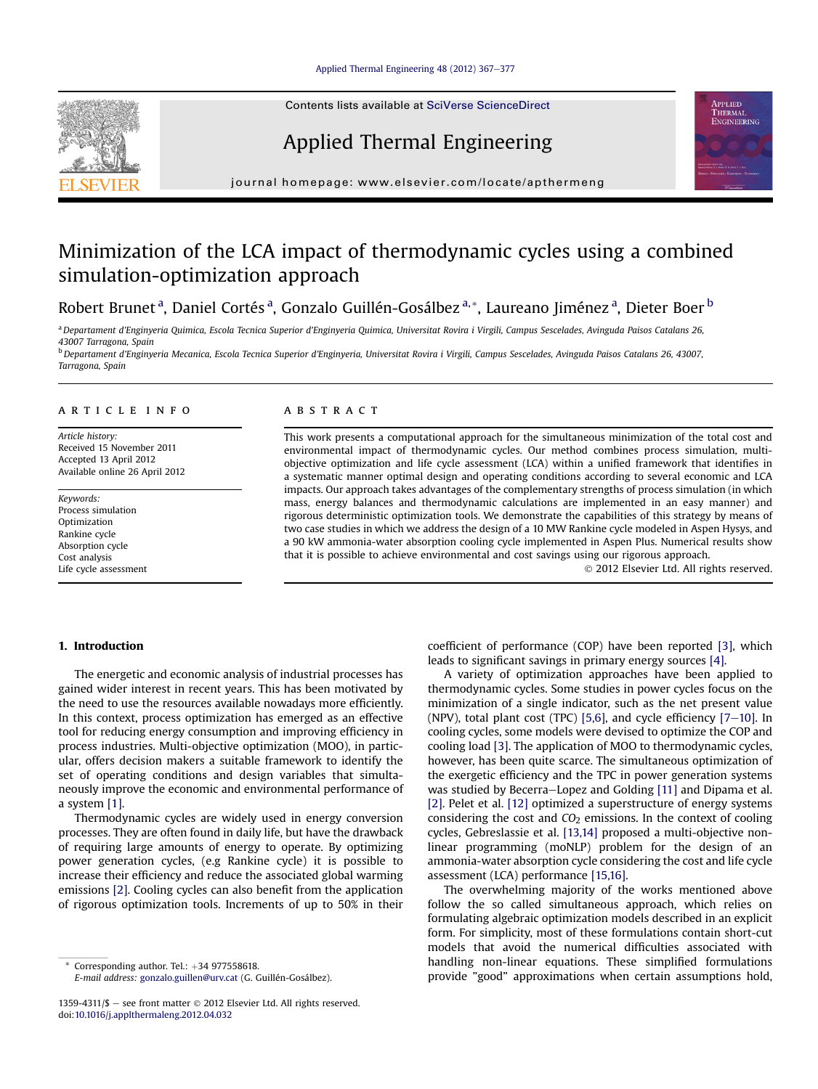#### [Applied Thermal Engineering 48 \(2012\) 367](http://dx.doi.org/10.1016/j.applthermaleng.2012.04.032)-[377](http://dx.doi.org/10.1016/j.applthermaleng.2012.04.032)

Contents lists available at SciVerse ScienceDirect

## Applied Thermal Engineering



journal homepage: [www.elsevier.com/locate/apthermeng](http://www.elsevier.com/locate/apthermeng)

## Minimization of the LCA impact of thermodynamic cycles using a combined simulation-optimization approach

Robert Brunet <sup>a</sup>, Daniel Cortés <sup>a</sup>, Gonzalo Guillén-Gosálbez <sup>a, »</sup>, Laureano Jiménez <sup>a</sup>, Dieter Boer <sup>b</sup>

<sup>a</sup> Departament d'Enginyeria Quimica, Escola Tecnica Superior d'Enginyeria Quimica, Universitat Rovira i Virgili, Campus Sescelades, Avinguda Paisos Catalans 26, 43007 Tarragona, Spain

<sup>b</sup>Departament d'Enginyeria Mecanica, Escola Tecnica Superior d'Enginyeria, Universitat Rovira i Virgili, Campus Sescelades, Avinguda Paisos Catalans 26, 43007, Tarragona, Spain

#### article info

Article history: Received 15 November 2011 Accepted 13 April 2012 Available online 26 April 2012

Keywords: Process simulation Optimization Rankine cycle Absorption cycle Cost analysis Life cycle assessment

### ABSTRACT

This work presents a computational approach for the simultaneous minimization of the total cost and environmental impact of thermodynamic cycles. Our method combines process simulation, multiobjective optimization and life cycle assessment (LCA) within a unified framework that identifies in a systematic manner optimal design and operating conditions according to several economic and LCA impacts. Our approach takes advantages of the complementary strengths of process simulation (in which mass, energy balances and thermodynamic calculations are implemented in an easy manner) and rigorous deterministic optimization tools. We demonstrate the capabilities of this strategy by means of two case studies in which we address the design of a 10 MW Rankine cycle modeled in Aspen Hysys, and a 90 kW ammonia-water absorption cooling cycle implemented in Aspen Plus. Numerical results show that it is possible to achieve environmental and cost savings using our rigorous approach.

2012 Elsevier Ltd. All rights reserved.

#### 1. Introduction

The energetic and economic analysis of industrial processes has gained wider interest in recent years. This has been motivated by the need to use the resources available nowadays more efficiently. In this context, process optimization has emerged as an effective tool for reducing energy consumption and improving efficiency in process industries. Multi-objective optimization (MOO), in particular, offers decision makers a suitable framework to identify the set of operating conditions and design variables that simultaneously improve the economic and environmental performance of a system [\[1\].](#page--1-0)

Thermodynamic cycles are widely used in energy conversion processes. They are often found in daily life, but have the drawback of requiring large amounts of energy to operate. By optimizing power generation cycles, (e.g Rankine cycle) it is possible to increase their efficiency and reduce the associated global warming emissions [\[2\].](#page--1-0) Cooling cycles can also benefit from the application of rigorous optimization tools. Increments of up to 50% in their

Corresponding author. Tel.:  $+34$  977558618. E-mail address: [gonzalo.guillen@urv.cat](mailto:gonzalo.guillen@urv.cat) (G. Guillén-Gosálbez).

1359-4311/\$  $-$  see front matter  $\odot$  2012 Elsevier Ltd. All rights reserved. doi[:10.1016/j.applthermaleng.2012.04.032](http://dx.doi.org/10.1016/j.applthermaleng.2012.04.032)

coefficient of performance (COP) have been reported [\[3\],](#page--1-0) which leads to significant savings in primary energy sources [\[4\]](#page--1-0).

A variety of optimization approaches have been applied to thermodynamic cycles. Some studies in power cycles focus on the minimization of a single indicator, such as the net present value (NPV), total plant cost (TPC)  $[5,6]$ , and cycle efficiency  $[7-10]$  $[7-10]$ . In cooling cycles, some models were devised to optimize the COP and cooling load [\[3\]](#page--1-0). The application of MOO to thermodynamic cycles, however, has been quite scarce. The simultaneous optimization of the exergetic efficiency and the TPC in power generation systems was studied by Becerra-Lopez and Golding [\[11\]](#page--1-0) and Dipama et al. [\[2\]](#page--1-0). Pelet et al. [\[12\]](#page--1-0) optimized a superstructure of energy systems considering the cost and  $CO<sub>2</sub>$  emissions. In the context of cooling cycles, Gebreslassie et al. [\[13,14\]](#page--1-0) proposed a multi-objective nonlinear programming (moNLP) problem for the design of an ammonia-water absorption cycle considering the cost and life cycle assessment (LCA) performance [\[15,16\].](#page--1-0)

The overwhelming majority of the works mentioned above follow the so called simultaneous approach, which relies on formulating algebraic optimization models described in an explicit form. For simplicity, most of these formulations contain short-cut models that avoid the numerical difficulties associated with handling non-linear equations. These simplified formulations provide "good" approximations when certain assumptions hold,

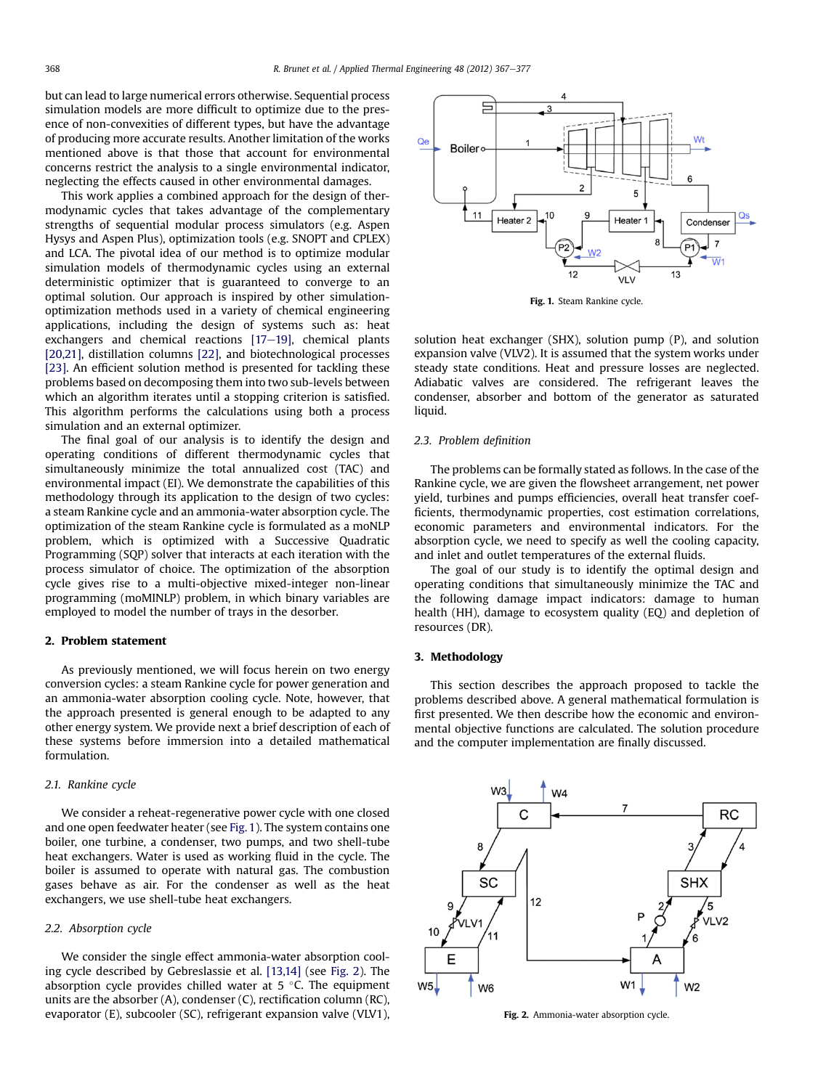but can lead to large numerical errors otherwise. Sequential process simulation models are more difficult to optimize due to the presence of non-convexities of different types, but have the advantage of producing more accurate results. Another limitation of the works mentioned above is that those that account for environmental concerns restrict the analysis to a single environmental indicator, neglecting the effects caused in other environmental damages.

This work applies a combined approach for the design of thermodynamic cycles that takes advantage of the complementary strengths of sequential modular process simulators (e.g. Aspen Hysys and Aspen Plus), optimization tools (e.g. SNOPT and CPLEX) and LCA. The pivotal idea of our method is to optimize modular simulation models of thermodynamic cycles using an external deterministic optimizer that is guaranteed to converge to an optimal solution. Our approach is inspired by other simulationoptimization methods used in a variety of chemical engineering applications, including the design of systems such as: heat exchangers and chemical reactions  $[17-19]$  $[17-19]$  $[17-19]$ , chemical plants [\[20,21\]](#page--1-0), distillation columns [\[22\]](#page--1-0), and biotechnological processes [\[23\]](#page--1-0). An efficient solution method is presented for tackling these problems based on decomposing them into two sub-levels between which an algorithm iterates until a stopping criterion is satisfied. This algorithm performs the calculations using both a process simulation and an external optimizer.

The final goal of our analysis is to identify the design and operating conditions of different thermodynamic cycles that simultaneously minimize the total annualized cost (TAC) and environmental impact (EI). We demonstrate the capabilities of this methodology through its application to the design of two cycles: a steam Rankine cycle and an ammonia-water absorption cycle. The optimization of the steam Rankine cycle is formulated as a moNLP problem, which is optimized with a Successive Quadratic Programming (SQP) solver that interacts at each iteration with the process simulator of choice. The optimization of the absorption cycle gives rise to a multi-objective mixed-integer non-linear programming (moMINLP) problem, in which binary variables are employed to model the number of trays in the desorber.

#### 2. Problem statement

As previously mentioned, we will focus herein on two energy conversion cycles: a steam Rankine cycle for power generation and an ammonia-water absorption cooling cycle. Note, however, that the approach presented is general enough to be adapted to any other energy system. We provide next a brief description of each of these systems before immersion into a detailed mathematical formulation.

#### 2.1. Rankine cycle

We consider a reheat-regenerative power cycle with one closed and one open feedwater heater (see Fig. 1). The system contains one boiler, one turbine, a condenser, two pumps, and two shell-tube heat exchangers. Water is used as working fluid in the cycle. The boiler is assumed to operate with natural gas. The combustion gases behave as air. For the condenser as well as the heat exchangers, we use shell-tube heat exchangers.

#### 2.2. Absorption cycle

We consider the single effect ammonia-water absorption cooling cycle described by Gebreslassie et al. [\[13,14\]](#page--1-0) (see Fig. 2). The absorption cycle provides chilled water at 5  $^{\circ}$ C. The equipment units are the absorber (A), condenser (C), rectification column (RC), evaporator (E), subcooler (SC), refrigerant expansion valve (VLV1),



Fig. 1. Steam Rankine cycle.

solution heat exchanger (SHX), solution pump (P), and solution expansion valve (VLV2). It is assumed that the system works under steady state conditions. Heat and pressure losses are neglected. Adiabatic valves are considered. The refrigerant leaves the condenser, absorber and bottom of the generator as saturated liquid.

### 2.3. Problem definition

The problems can be formally stated as follows. In the case of the Rankine cycle, we are given the flowsheet arrangement, net power yield, turbines and pumps efficiencies, overall heat transfer coefficients, thermodynamic properties, cost estimation correlations, economic parameters and environmental indicators. For the absorption cycle, we need to specify as well the cooling capacity, and inlet and outlet temperatures of the external fluids.

The goal of our study is to identify the optimal design and operating conditions that simultaneously minimize the TAC and the following damage impact indicators: damage to human health (HH), damage to ecosystem quality (EQ) and depletion of resources (DR).

#### 3. Methodology

This section describes the approach proposed to tackle the problems described above. A general mathematical formulation is first presented. We then describe how the economic and environmental objective functions are calculated. The solution procedure and the computer implementation are finally discussed.



Fig. 2. Ammonia-water absorption cycle.